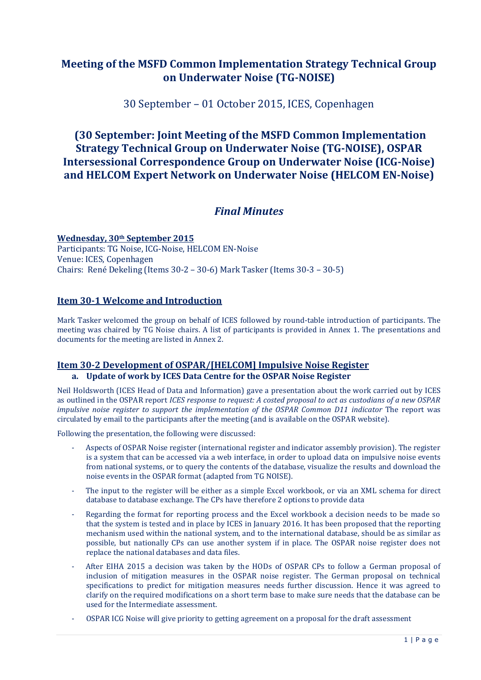# **Meeting of the MSFD Common Implementation Strategy Technical Group on Underwater Noise (TG-NOISE)**

30 September – 01 October 2015, ICES, Copenhagen

# **(30 September: Joint Meeting of the MSFD Common Implementation Strategy Technical Group on Underwater Noise (TG-NOISE), OSPAR Intersessional Correspondence Group on Underwater Noise (ICG-Noise) and HELCOM Expert Network on Underwater Noise (HELCOM EN-Noise)**

# *Final Minutes*

**Wednesday, 30th September 2015** Participants: TG Noise, ICG-Noise, HELCOM EN-Noise Venue: ICES, Copenhagen Chairs: René Dekeling (Items 30-2 – 30-6) Mark Tasker (Items 30-3 – 30-5)

## **Item 30-1 Welcome and Introduction**

Mark Tasker welcomed the group on behalf of ICES followed by round-table introduction of participants. The meeting was chaired by TG Noise chairs. A list of participants is provided in Annex 1. The presentations and documents for the meeting are listed in Annex 2.

## **Item 30-2 Development of OSPAR/[HELCOM] Impulsive Noise Register**

## **a. Update of work by ICES Data Centre for the OSPAR Noise Register**

Neil Holdsworth (ICES Head of Data and Information) gave a presentation about the work carried out by ICES as outlined in the OSPAR report *ICES response to request: A costed proposal to act as custodians of a new OSPAR impulsive noise register to support the implementation of the OSPAR Common D11 indicator* The report was circulated by email to the participants after the meeting (and is available on the OSPAR website).

Following the presentation, the following were discussed:

- Aspects of OSPAR Noise register (international register and indicator assembly provision). The register is a system that can be accessed via a web interface, in order to upload data on impulsive noise events from national systems, or to query the contents of the database, visualize the results and download the noise events in the OSPAR format (adapted from TG NOISE).
- The input to the register will be either as a simple Excel workbook, or via an XML schema for direct database to database exchange. The CPs have therefore 2 options to provide data
- Regarding the format for reporting process and the Excel workbook a decision needs to be made so that the system is tested and in place by ICES in January 2016. It has been proposed that the reporting mechanism used within the national system, and to the international database, should be as similar as possible, but nationally CPs can use another system if in place. The OSPAR noise register does not replace the national databases and data files.
- After EIHA 2015 a decision was taken by the HODs of OSPAR CPs to follow a German proposal of inclusion of mitigation measures in the OSPAR noise register. The German proposal on technical specifications to predict for mitigation measures needs further discussion. Hence it was agreed to clarify on the required modifications on a short term base to make sure needs that the database can be used for the Intermediate assessment.
- OSPAR ICG Noise will give priority to getting agreement on a proposal for the draft assessment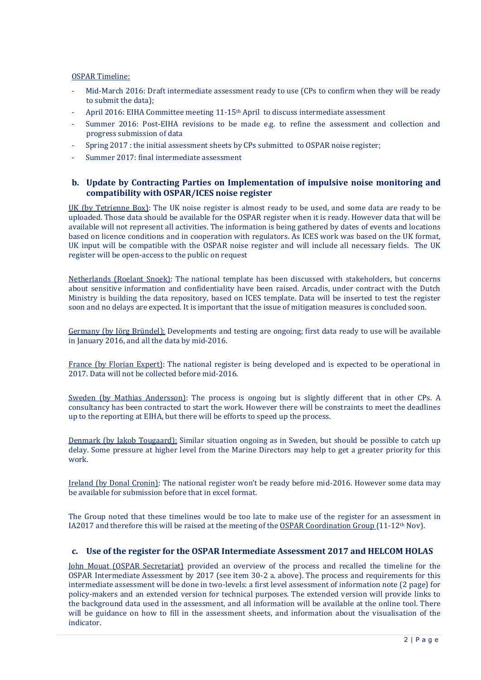#### OSPAR Timeline:

- Mid-March 2016: Draft intermediate assessment ready to use (CPs to confirm when they will be ready to submit the data);
- April 2016: EIHA Committee meeting 11-15<sup>th</sup> April to discuss intermediate assessment
- Summer 2016: Post-EIHA revisions to be made e.g. to refine the assessment and collection and progress submission of data
- Spring 2017 : the initial assessment sheets by CPs submitted to OSPAR noise register;
- Summer 2017: final intermediate assessment

## **b. Update by Contracting Parties on Implementation of impulsive noise monitoring and compatibility with OSPAR/ICES noise register**

UK (by Tetrienne Box): The UK noise register is almost ready to be used, and some data are ready to be uploaded. Those data should be available for the OSPAR register when it is ready. However data that will be available will not represent all activities. The information is being gathered by dates of events and locations based on licence conditions and in cooperation with regulators. As ICES work was based on the UK format, UK input will be compatible with the OSPAR noise register and will include all necessary fields. The UK register will be open-access to the public on request

Netherlands (Roelant Snoek): The national template has been discussed with stakeholders, but concerns about sensitive information and confidentiality have been raised. Arcadis, under contract with the Dutch Ministry is building the data repository, based on ICES template. Data will be inserted to test the register soon and no delays are expected. It is important that the issue of mitigation measures is concluded soon.

Germany (by Jörg Bründel): Developments and testing are ongoing; first data ready to use will be available in January 2016, and all the data by mid-2016.

France (by Florian Expert): The national register is being developed and is expected to be operational in 2017. Data will not be collected before mid-2016.

Sweden (by Mathias Andersson): The process is ongoing but is slightly different that in other CPs. A consultancy has been contracted to start the work. However there will be constraints to meet the deadlines up to the reporting at EIHA, but there will be efforts to speed up the process.

Denmark (by Jakob Tougaard): Similar situation ongoing as in Sweden, but should be possible to catch up delay. Some pressure at higher level from the Marine Directors may help to get a greater priority for this work.

Ireland (by Donal Cronin): The national register won't be ready before mid-2016. However some data may be available for submission before that in excel format.

The Group noted that these timelines would be too late to make use of the register for an assessment in IA2017 and therefore this will be raised at the meeting of the OSPAR Coordination Group (11-12th Nov).

## **c. Use of the register for the OSPAR Intermediate Assessment 2017 and HELCOM HOLAS**

John Mouat (OSPAR Secretariat) provided an overview of the process and recalled the timeline for the OSPAR Intermediate Assessment by 2017 (see item 30-2 a. above). The process and requirements for this intermediate assessment will be done in two-levels: a first level assessment of information note (2 page) for policy-makers and an extended version for technical purposes. The extended version will provide links to the background data used in the assessment, and all information will be available at the online tool. There will be guidance on how to fill in the assessment sheets, and information about the visualisation of the indicator.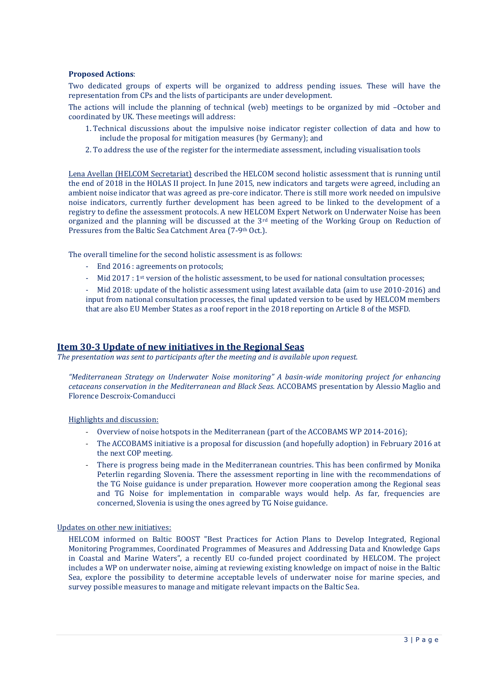#### **Proposed Actions**:

Two dedicated groups of experts will be organized to address pending issues. These will have the representation from CPs and the lists of participants are under development.

The actions will include the planning of technical (web) meetings to be organized by mid –October and coordinated by UK. These meetings will address:

- 1. Technical discussions about the impulsive noise indicator register collection of data and how to include the proposal for mitigation measures (by Germany); and
- 2. To address the use of the register for the intermediate assessment, including visualisation tools

Lena Avellan (HELCOM Secretariat) described the HELCOM second holistic assessment that is running until the end of 2018 in the HOLAS II project. In June 2015, new indicators and targets were agreed, including an ambient noise indicator that was agreed as pre-core indicator. There is still more work needed on impulsive noise indicators, currently further development has been agreed to be linked to the development of a registry to define the assessment protocols. A new HELCOM Expert Network on Underwater Noise has been organized and the planning will be discussed at the 3rd meeting of the Working Group on Reduction of Pressures from the Baltic Sea Catchment Area (7-9<sup>th</sup> Oct.).

The overall timeline for the second holistic assessment is as follows:

- End 2016 : agreements on protocols;
- Mid 2017 : 1st version of the holistic assessment, to be used for national consultation processes;

- Mid 2018: update of the holistic assessment using latest available data (aim to use 2010-2016) and input from national consultation processes, the final updated version to be used by HELCOM members that are also EU Member States as a roof report in the 2018 reporting on Article 8 of the MSFD.

## **Item 30-3 Update of new initiatives in the Regional Seas**

*The presentation was sent to participants after the meeting and is available upon request.*

*"Mediterranean Strategy on Underwater Noise monitoring" A basin-wide monitoring project for enhancing cetaceans conservation in the Mediterranean and Black Seas.* ACCOBAMS presentation by Alessio Maglio and Florence Descroix-Comanducci

Highlights and discussion:

- Overview of noise hotspots in the Mediterranean (part of the ACCOBAMS WP 2014-2016);
- The ACCOBAMS initiative is a proposal for discussion (and hopefully adoption) in February 2016 at the next COP meeting.
- There is progress being made in the Mediterranean countries. This has been confirmed by Monika Peterlin regarding Slovenia. There the assessment reporting in line with the recommendations of the TG Noise guidance is under preparation. However more cooperation among the Regional seas and TG Noise for implementation in comparable ways would help. As far, frequencies are concerned, Slovenia is using the ones agreed by TG Noise guidance.

#### Updates on other new initiatives:

HELCOM informed on Baltic BOOST "Best Practices for Action Plans to Develop Integrated, Regional Monitoring Programmes, Coordinated Programmes of Measures and Addressing Data and Knowledge Gaps in Coastal and Marine Waters", a recently EU co-funded project coordinated by HELCOM. The project includes a WP on underwater noise, aiming at reviewing existing knowledge on impact of noise in the Baltic Sea, explore the possibility to determine acceptable levels of underwater noise for marine species, and survey possible measures to manage and mitigate relevant impacts on the Baltic Sea.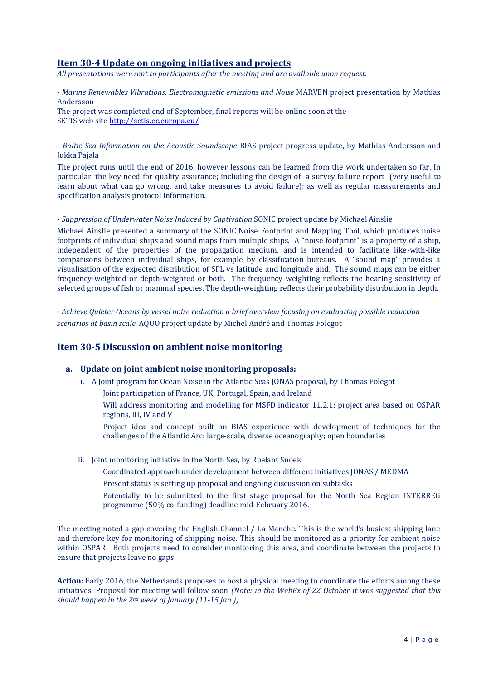## **Item 30-4 Update on ongoing initiatives and projects**

*All presentations were sent to participants after the meeting and are available upon request.*

- *Marine Renewables Vibrations, Electromagnetic emissions and Noise* MARVEN project presentation by Mathias Andersson

The project was completed end of September, final reports will be online soon at the SETIS web sit[e http://setis.ec.europa.eu/](http://setis.ec.europa.eu/)

### - *Baltic Sea Information on the Acoustic Soundscape* BIAS project progress update, by Mathias Andersson and Jukka Pajala

The project runs until the end of 2016, however lessons can be learned from the work undertaken so far. In particular, the key need for quality assurance; including the design of a survey failure report (very useful to learn about what can go wrong, and take measures to avoid failure); as well as regular measurements and specification analysis protocol information.

#### - *Suppression of Underwater Noise Induced by Captivation* SONIC project update by Michael Ainslie

Michael Ainslie presented a summary of the SONIC Noise Footprint and Mapping Tool, which produces noise footprints of individual ships and sound maps from multiple ships. A "noise footprint" is a property of a ship, independent of the properties of the propagation medium, and is intended to facilitate like-with-like comparisons between individual ships, for example by classification bureaus. A "sound map" provides a visualisation of the expected distribution of SPL vs latitude and longitude and. The sound maps can be either frequency-weighted or depth-weighted or both. The frequency weighting reflects the hearing sensitivity of selected groups of fish or mammal species. The depth-weighting reflects their probability distribution in depth.

- *Achieve Quieter Oceans by vessel noise reduction a brief overview focusing on evaluating possible reduction scenarios at basin scale.* AQUO project update by Michel André and Thomas Folegot

## **Item 30-5 Discussion on ambient noise monitoring**

#### **a. Update on joint ambient noise monitoring proposals:**

i. A Joint program for Ocean Noise in the Atlantic Seas JONAS proposal, by Thomas Folegot Joint participation of France, UK, Portugal, Spain, and Ireland

Will address monitoring and modelling for MSFD indicator 11.2.1; project area based on OSPAR regions, III, IV and V

Project idea and concept built on BIAS experience with development of techniques for the challenges of the Atlantic Arc: large-scale, diverse oceanography; open boundaries

ii. Joint monitoring initiative in the North Sea, by Roelant Snoek

Coordinated approach under development between different initiatives JONAS / MEDMA

Present status is setting up proposal and ongoing discussion on subtasks

Potentially to be submitted to the first stage proposal for the North Sea Region INTERREG programme (50% co-funding) deadline mid-February 2016.

The meeting noted a gap covering the English Channel / La Manche. This is the world's busiest shipping lane and therefore key for monitoring of shipping noise. This should be monitored as a priority for ambient noise within OSPAR. Both projects need to consider monitoring this area, and coordinate between the projects to ensure that projects leave no gaps.

**Action:** Early 2016, the Netherlands proposes to host a physical meeting to coordinate the efforts among these initiatives. Proposal for meeting will follow soon *(Note: in the WebEx of 22 October it was suggested that this should happen in the 2nd week of January (11-15 Jan.))*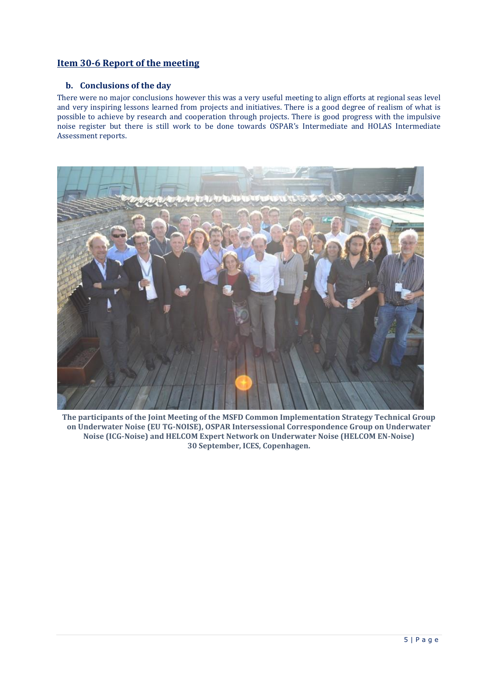## **Item 30-6 Report of the meeting**

## **b. Conclusions of the day**

There were no major conclusions however this was a very useful meeting to align efforts at regional seas level and very inspiring lessons learned from projects and initiatives. There is a good degree of realism of what is possible to achieve by research and cooperation through projects. There is good progress with the impulsive noise register but there is still work to be done towards OSPAR's Intermediate and HOLAS Intermediate Assessment reports.



**The participants of the Joint Meeting of the MSFD Common Implementation Strategy Technical Group on Underwater Noise (EU TG-NOISE), OSPAR Intersessional Correspondence Group on Underwater Noise (ICG-Noise) and HELCOM Expert Network on Underwater Noise (HELCOM EN-Noise) 30 September, ICES, Copenhagen.**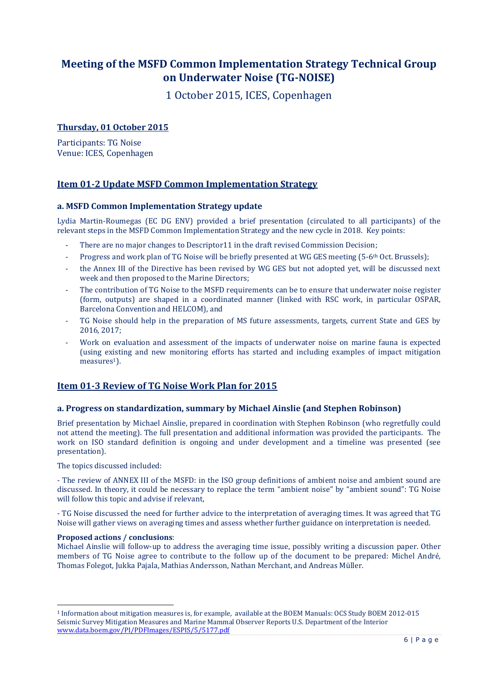# **Meeting of the MSFD Common Implementation Strategy Technical Group on Underwater Noise (TG-NOISE)**

1 October 2015, ICES, Copenhagen

## **Thursday, 01 October 2015**

Participants: TG Noise Venue: ICES, Copenhagen

## **Item 01-2 Update MSFD Common Implementation Strategy**

## **a. MSFD Common Implementation Strategy update**

Lydia Martin-Roumegas (EC DG ENV) provided a brief presentation (circulated to all participants) of the relevant steps in the MSFD Common Implementation Strategy and the new cycle in 2018. Key points:

- There are no major changes to Descriptor11 in the draft revised Commission Decision;
- Progress and work plan of TG Noise will be briefly presented at WG GES meeting (5-6<sup>th</sup> Oct. Brussels);
- the Annex III of the Directive has been revised by WG GES but not adopted yet, will be discussed next week and then proposed to the Marine Directors;
- The contribution of TG Noise to the MSFD requirements can be to ensure that underwater noise register (form, outputs) are shaped in a coordinated manner (linked with RSC work, in particular OSPAR, Barcelona Convention and HELCOM), and
- TG Noise should help in the preparation of MS future assessments, targets, current State and GES by 2016, 2017;
- Work on evaluation and assessment of the impacts of underwater noise on marine fauna is expected (using existing and new monitoring efforts has started and including examples of impact mitigation  $measures<sup>1</sup>$ ).

## **Item 01-3 Review of TG Noise Work Plan for 2015**

## **a. Progress on standardization, summary by Michael Ainslie (and Stephen Robinson)**

Brief presentation by Michael Ainslie, prepared in coordination with Stephen Robinson (who regretfully could not attend the meeting). The full presentation and additional information was provided the participants. The work on ISO standard definition is ongoing and under development and a timeline was presented (see presentation).

The topics discussed included:

- The review of ANNEX III of the MSFD: in the ISO group definitions of ambient noise and ambient sound are discussed. In theory, it could be necessary to replace the term "ambient noise" by "ambient sound": TG Noise will follow this topic and advise if relevant,

- TG Noise discussed the need for further advice to the interpretation of averaging times. It was agreed that TG Noise will gather views on averaging times and assess whether further guidance on interpretation is needed.

#### **Proposed actions / conclusions**:

Michael Ainslie will follow-up to address the averaging time issue, possibly writing a discussion paper. Other members of TG Noise agree to contribute to the follow up of the document to be prepared: Michel André, Thomas Folegot, Jukka Pajala, Mathias Andersson, Nathan Merchant, and Andreas Müller.

<sup>-</sup><sup>1</sup> Information about mitigation measures is, for example, available at the BOEM Manuals: OCS Study BOEM 2012-015 Seismic Survey Mitigation Measures and Marine Mammal Observer Reports U.S. Department of the Interior [www.data.boem.gov/PI/PDFImages/ESPIS/5/5177.pdf](http://www.data.boem.gov/PI/PDFImages/ESPIS/5/5177.pdf)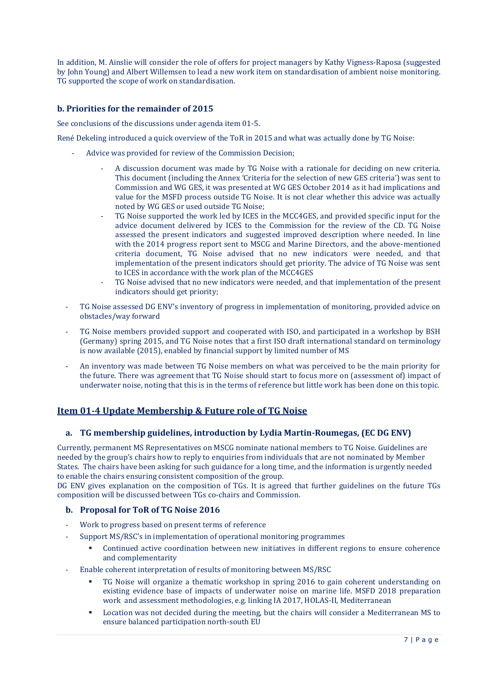In addition, M. Ainslie will consider the role of offers for project managers by Kathy Vigness-Raposa (suggested by John Young) and Albert Willemsen to lead a new work item on standardisation of ambient noise monitoring. TG supported the scope of work on standardisation.

## **b. Priorities for the remainder of 2015**

See conclusions of the discussions under agenda item 01-5.

René Dekeling introduced a quick overview of the ToR in 2015 and what was actually done by TG Noise:

- Advice was provided for review of the Commission Decision;
	- A discussion document was made by TG Noise with a rationale for deciding on new criteria. This document (including the Annex 'Criteria for the selection of new GES criteria') was sent to Commission and WG GES, it was presented at WG GES October 2014 as it had implications and value for the MSFD process outside TG Noise. It is not clear whether this advice was actually noted by WG GES or used outside TG Noise;
	- TG Noise supported the work led by ICES in the MCC4GES, and provided specific input for the advice document delivered by ICES to the Commission for the review of the CD. TG Noise assessed the present indicators and suggested improved description where needed. In line with the 2014 progress report sent to MSCG and Marine Directors, and the above-mentioned criteria document, TG Noise advised that no new indicators were needed, and that implementation of the present indicators should get priority. The advice of TG Noise was sent to ICES in accordance with the work plan of the MCC4GES
	- TG Noise advised that no new indicators were needed, and that implementation of the present indicators should get priority;
- TG Noise assessed DG ENV's inventory of progress in implementation of monitoring, provided advice on obstacles/way forward
- TG Noise members provided support and cooperated with ISO, and participated in a workshop by BSH (Germany) spring 2015, and TG Noise notes that a first ISO draft international standard on terminology is now available (2015), enabled by financial support by limited number of MS
- An inventory was made between TG Noise members on what was perceived to be the main priority for the future. There was agreement that TG Noise should start to focus more on (assessment of) impact of underwater noise, noting that this is in the terms of reference but little work has been done on this topic.

## **Item 01-4 Update Membership & Future role of TG Noise**

## **a. TG membership guidelines, introduction by Lydia Martin-Roumegas, (EC DG ENV)**

Currently, permanent MS Representatives on MSCG nominate national members to TG Noise. Guidelines are needed by the group's chairs how to reply to enquiries from individuals that are not nominated by Member States. The chairs have been asking for such guidance for a long time, and the information is urgently needed to enable the chairs ensuring consistent composition of the group.

DG ENV gives explanation on the composition of TGs. It is agreed that further guidelines on the future TGs composition will be discussed between TGs co-chairs and Commission.

## **b. Proposal for ToR of TG Noise 2016**

- Work to progress based on present terms of reference
	- Support MS/RSC's in implementation of operational monitoring programmes
		- Continued active coordination between new initiatives in different regions to ensure coherence and complementarity
- Enable coherent interpretation of results of monitoring between MS/RSC
	- TG Noise will organize a thematic workshop in spring 2016 to gain coherent understanding on existing evidence base of impacts of underwater noise on marine life. MSFD 2018 preparation work and assessment methodologies, e.g. linking IA 2017, HOLAS-II, Mediterranean
	- Location was not decided during the meeting, but the chairs will consider a Mediterranean MS to ensure balanced participation north-south EU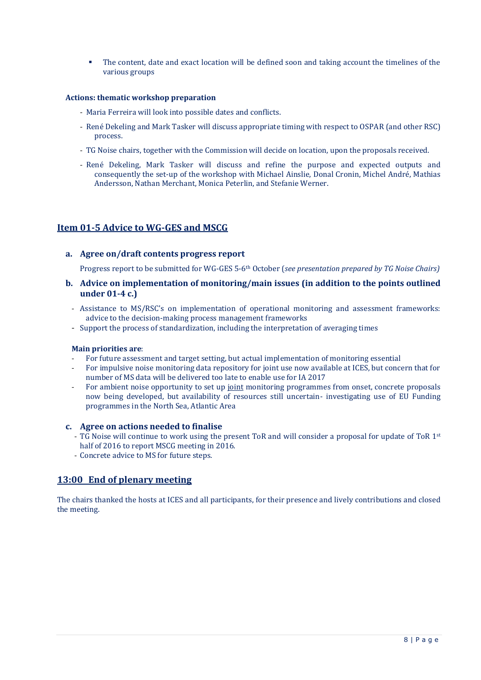The content, date and exact location will be defined soon and taking account the timelines of the various groups

#### **Actions: thematic workshop preparation**

- Maria Ferreira will look into possible dates and conflicts.
- René Dekeling and Mark Tasker will discuss appropriate timing with respect to OSPAR (and other RSC) process.
- TG Noise chairs, together with the Commission will decide on location, upon the proposals received.
- René Dekeling, Mark Tasker will discuss and refine the purpose and expected outputs and consequently the set-up of the workshop with Michael Ainslie, Donal Cronin, Michel André, Mathias Andersson, Nathan Merchant, Monica Peterlin, and Stefanie Werner.

## **Item 01-5 Advice to WG-GES and MSCG**

#### **a. Agree on/draft contents progress report**

Progress report to be submitted for WG-GES 5-6th October (*see presentation prepared by TG Noise Chairs)* 

- **b. Advice on implementation of monitoring/main issues (in addition to the points outlined under 01-4 c.)**
	- Assistance to MS/RSC's on implementation of operational monitoring and assessment frameworks: advice to the decision-making process management frameworks
	- Support the process of standardization, including the interpretation of averaging times

#### **Main priorities are**:

- For future assessment and target setting, but actual implementation of monitoring essential
- For impulsive noise monitoring data repository for joint use now available at ICES, but concern that for number of MS data will be delivered too late to enable use for IA 2017
- For ambient noise opportunity to set up joint monitoring programmes from onset, concrete proposals now being developed, but availability of resources still uncertain- investigating use of EU Funding programmes in the North Sea, Atlantic Area

#### **c. Agree on actions needed to finalise**

- TG Noise will continue to work using the present ToR and will consider a proposal for update of ToR 1st half of 2016 to report MSCG meeting in 2016.
- Concrete advice to MS for future steps.

## **13:00 End of plenary meeting**

The chairs thanked the hosts at ICES and all participants, for their presence and lively contributions and closed the meeting.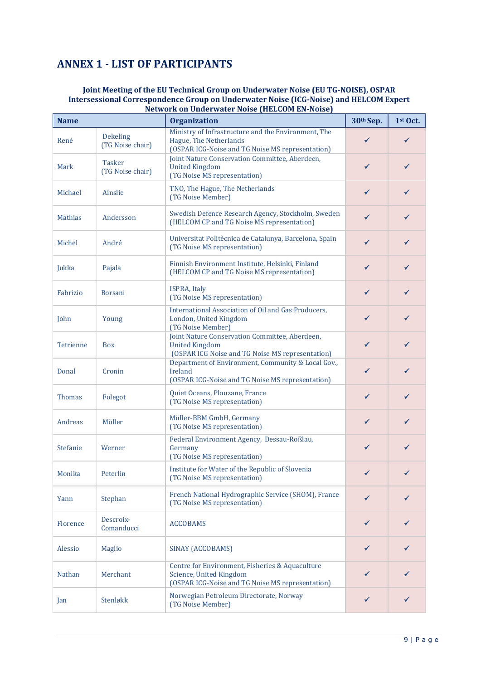# **ANNEX 1 - LIST OF PARTICIPANTS**

### **Joint Meeting of the EU Technical Group on Underwater Noise (EU TG-NOISE), OSPAR Intersessional Correspondence Group on Underwater Noise (ICG-Noise) and HELCOM Expert Network on Underwater Noise (HELCOM EN-Noise)**

| <b>Name</b>    |                                     | <b>Organization</b>                                                                                                               | 30th Sep.    | $1st$ Oct.   |
|----------------|-------------------------------------|-----------------------------------------------------------------------------------------------------------------------------------|--------------|--------------|
| René           | <b>Dekeling</b><br>(TG Noise chair) | Ministry of Infrastructure and the Environment, The<br>Hague, The Netherlands<br>(OSPAR ICG-Noise and TG Noise MS representation) | ✓            | ✓            |
| Mark           | <b>Tasker</b><br>(TG Noise chair)   | Joint Nature Conservation Committee, Aberdeen,<br><b>United Kingdom</b><br>(TG Noise MS representation)                           | $\checkmark$ | ✓            |
| Michael        | Ainslie                             | TNO, The Hague, The Netherlands<br>(TG Noise Member)                                                                              | $\checkmark$ | $\checkmark$ |
| <b>Mathias</b> | Andersson                           | Swedish Defence Research Agency, Stockholm, Sweden<br>(HELCOM CP and TG Noise MS representation)                                  | ✔            | ✓            |
| Michel         | André                               | Universitat Politècnica de Catalunya, Barcelona, Spain<br>(TG Noise MS representation)                                            | $\checkmark$ | $\checkmark$ |
| Jukka          | Pajala                              | Finnish Environment Institute, Helsinki, Finland<br>(HELCOM CP and TG Noise MS representation)                                    | $\checkmark$ | ✓            |
| Fabrizio       | Borsani                             | <b>ISPRA, Italy</b><br>(TG Noise MS representation)                                                                               | $\checkmark$ | ✓            |
| John           | Young                               | International Association of Oil and Gas Producers,<br>London, United Kingdom<br>(TG Noise Member)                                | $\checkmark$ | ✓            |
| Tetrienne      | <b>Box</b>                          | Joint Nature Conservation Committee, Aberdeen,<br><b>United Kingdom</b><br>(OSPAR ICG Noise and TG Noise MS representation)       | $\checkmark$ | ✓            |
| Donal          | Cronin                              | Department of Environment, Community & Local Gov.,<br>Ireland<br>(OSPAR ICG-Noise and TG Noise MS representation)                 | $\checkmark$ | ✓            |
| <b>Thomas</b>  | Folegot                             | Quiet Oceans, Plouzane, France<br>(TG Noise MS representation)                                                                    | $\checkmark$ | ✓            |
| Andreas        | Müller                              | Müller-BBM GmbH, Germany<br>(TG Noise MS representation)                                                                          | $\checkmark$ | $\checkmark$ |
| Stefanie       | Werner                              | Federal Environment Agency, Dessau-Roßlau,<br>Germany<br>(TG Noise MS representation)                                             | $\checkmark$ | ✓            |
| Monika         | Peterlin                            | Institute for Water of the Republic of Slovenia<br>(TG Noise MS representation)                                                   | ✓            |              |
| Yann           | Stephan                             | French National Hydrographic Service (SHOM), France<br>(TG Noise MS representation)                                               | $\checkmark$ | ✓            |
| Florence       | Descroix-<br>Comanducci             | <b>ACCOBAMS</b>                                                                                                                   | $\checkmark$ |              |
| Alessio        | Maglio                              | SINAY (ACCOBAMS)                                                                                                                  | $\checkmark$ |              |
| <b>Nathan</b>  | Merchant                            | Centre for Environment, Fisheries & Aquaculture<br>Science, United Kingdom<br>(OSPAR ICG-Noise and TG Noise MS representation)    | ✓            |              |
| Jan            | Stenløkk                            | Norwegian Petroleum Directorate, Norway<br>(TG Noise Member)                                                                      | ✓            | ✓            |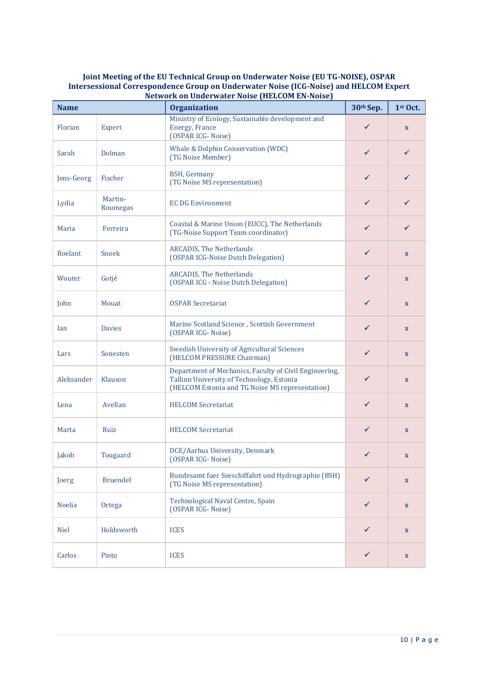#### **Joint Meeting of the EU Technical Group on Underwater Noise (EU TG-NOISE), OSPAR Intersessional Correspondence Group on Underwater Noise (ICG-Noise) and HELCOM Expert Network on Underwater Noise (HELCOM EN-Noise)**

| <b>Name</b>   |                     | <b>Organization</b>                                                                                                                                    | 30th Sep.    | $1st$ Oct.                |
|---------------|---------------------|--------------------------------------------------------------------------------------------------------------------------------------------------------|--------------|---------------------------|
| Florian       | Expert              | Ministry of Ecology, Sustainable development and<br><b>Energy, France</b><br>(OSPAR ICG-Noise)                                                         | ✓            | $\mathbf{x}$              |
| Sarah         | Dolman              | Whale & Dolphin Conservation (WDC)<br>(TG Noise Member)                                                                                                | $\checkmark$ | ✓                         |
| Jens-Georg    | Fischer             | <b>BSH, Germany</b><br>(TG Noise MS representation)                                                                                                    | $\checkmark$ |                           |
| Lydia         | Martin-<br>Roumegas | <b>EC DG Environment</b>                                                                                                                               | $\checkmark$ | ✓                         |
| Maria         | Ferreira            | Coastal & Marine Union (EUCC), The Netherlands<br>(TG-Noise Support Team coordinator)                                                                  | ✓            | ✓                         |
| Roelant       | Snoek               | <b>ARCADIS, The Netherlands</b><br>(OSPAR ICG-Noise Dutch Delegation)                                                                                  | ✓            | $\mathbf{x}$              |
| Wouter        | Gotjé               | <b>ARCADIS, The Netherlands</b><br>(OSPAR ICG - Noise Dutch Delegation)                                                                                | $\checkmark$ | $\mathbf{x}$              |
| John          | Mouat               | <b>OSPAR Secretariat</b>                                                                                                                               | $\checkmark$ | $\mathbf X$               |
| Ian           | <b>Davies</b>       | Marine Scotland Science, Scottish Government<br>(OSPAR ICG-Noise)                                                                                      | $\checkmark$ | $\mathbf{x}$              |
| Lars          | Sonesten            | Swedish University of Agricultural Sciences<br>(HELCOM PRESSURE Chairman)                                                                              | $\checkmark$ | $\mathbf{x}$              |
| Aleksander    | Klauson             | Department of Mechanics, Faculty of Civil Engineering,<br>Tallinn University of Technology, Estonia<br>(HELCOM Estonia and TG Noise MS representation) | ✓            | $\mathbf x$               |
| Lena          | Avellan             | <b>HELCOM Secretariat</b>                                                                                                                              | $\checkmark$ | $\mathbf{x}$              |
| Marta         | Ruiz                | <b>HELCOM Secretariat</b>                                                                                                                              | $\checkmark$ | $\mathbf{x}$              |
| Jakob         | Tougaard            | DCE/Aarhus University, Denmark<br>(OSPAR ICG-Noise)                                                                                                    | $\checkmark$ | $\mathbf x$               |
| Joerg         | <b>Bruendel</b>     | Bundesamt fuer Seeschiffahrt und Hydrographie (BSH)<br>(TG Noise MS representation)                                                                    | ✔            | $\boldsymbol{\mathrm{X}}$ |
| <b>Noelia</b> | Ortega              | Technological Naval Centre, Spain<br>(OSPAR ICG-Noise)                                                                                                 | $\checkmark$ | $\boldsymbol{\mathrm{X}}$ |
| <b>Niel</b>   | Holdsworth          | <b>ICES</b>                                                                                                                                            | $\checkmark$ | $\boldsymbol{\mathrm{X}}$ |
| Carlos        | Pinto               | <b>ICES</b>                                                                                                                                            | $\checkmark$ | $\mathbf X$               |